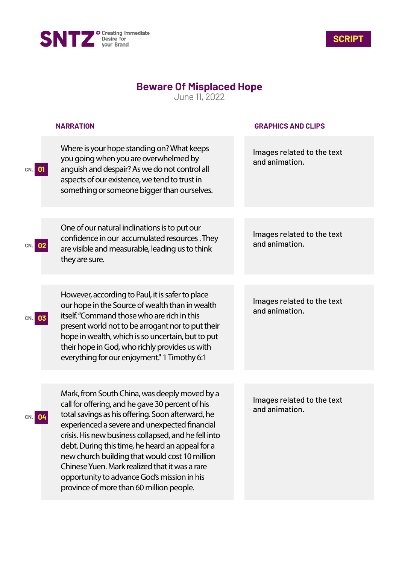



## **Beware Of Misplaced Hope**

June 11, 2022

|                  | <b>NARRATION</b>                                                                                                                                                                                                                                                                                                                                                                                                                                                                                                   | <b>GRAPHICS AND CLIPS</b>                    |
|------------------|--------------------------------------------------------------------------------------------------------------------------------------------------------------------------------------------------------------------------------------------------------------------------------------------------------------------------------------------------------------------------------------------------------------------------------------------------------------------------------------------------------------------|----------------------------------------------|
| CN. 01           | Where is your hope standing on? What keeps<br>you going when you are overwhelmed by<br>anguish and despair? As we do not control all<br>aspects of our existence, we tend to trust in<br>something or someone bigger than ourselves.                                                                                                                                                                                                                                                                               | Images related to the text<br>and animation. |
| CN. 02           | One of our natural inclinations is to put our<br>confidence in our accumulated resources. They<br>are visible and measurable, leading us to think<br>they are sure.                                                                                                                                                                                                                                                                                                                                                | Images related to the text<br>and animation. |
| 03<br>CN.        | However, according to Paul, it is safer to place<br>our hope in the Source of wealth than in wealth<br>itself. "Command those who are rich in this<br>present world not to be arrogant nor to put their<br>hope in wealth, which is so uncertain, but to put<br>their hope in God, who richly provides us with<br>everything for our enjoyment." 1 Timothy 6:1                                                                                                                                                     | Images related to the text<br>and animation. |
| <b>04</b><br>CN. | Mark, from South China, was deeply moved by a<br>call for offering, and he gave 30 percent of his<br>total savings as his offering. Soon afterward, he<br>experienced a severe and unexpected financial<br>crisis. His new business collapsed, and he fell into<br>debt. During this time, he heard an appeal for a<br>new church building that would cost 10 million<br>Chinese Yuen. Mark realized that it was a rare<br>opportunity to advance God's mission in his<br>province of more than 60 million people. | Images related to the text<br>and animation. |